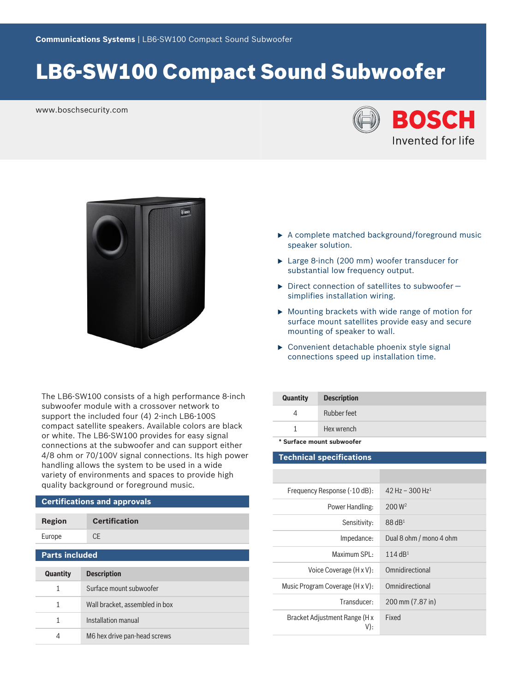# LB6-SW100 Compact Sound Subwoofer

www.boschsecurity.com





The LB6-SW100 consists of a high performance 8-inch subwoofer module with a crossover network to support the included four (4) 2-inch LB6-100S compact satellite speakers. Available colors are black or white. The LB6-SW100 provides for easy signal connections at the subwoofer and can support either 4/8 ohm or 70/100V signal connections. Its high power handling allows the system to be used in a wide variety of environments and spaces to provide high quality background or foreground music.

# **Certifications and approvals**

| Region | <b>Certification</b> |
|--------|----------------------|
| Europe | CE.                  |
|        |                      |

### **Parts included**

| <b>Quantity</b> | <b>Description</b>             |
|-----------------|--------------------------------|
| 1               | Surface mount subwoofer        |
| 1               | Wall bracket, assembled in box |
| 1.              | Installation manual            |
|                 | M6 hex drive pan-head screws   |

- $\triangleright$  A complete matched background/foreground music speaker solution.
- $\blacktriangleright$  Large 8-inch (200 mm) woofer transducer for substantial low frequency output.
- $\triangleright$  Direct connection of satellites to subwoofer simplifies installation wiring.
- $\triangleright$  Mounting brackets with wide range of motion for surface mount satellites provide easy and secure mounting of speaker to wall.
- $\triangleright$  Convenient detachable phoenix style signal connections speed up installation time.

| <b>Quantity</b>           | <b>Description</b> |
|---------------------------|--------------------|
|                           | Rubber feet        |
|                           | Hex wrench         |
| * Surface mount subwoofer |                    |

### **Technical specifications**

| Frequency Response (-10 dB):         | 42 Hz - 300 Hz <sup>1</sup> |
|--------------------------------------|-----------------------------|
| Power Handling:                      | $200 \,\mathrm{W}^2$        |
| Sensitivity:                         | $88$ dB <sup>1</sup>        |
| Impedance:                           | Dual 8 ohm / mono 4 ohm     |
| Maximum SPL:                         | 114 $dB1$                   |
| Voice Coverage (H x V):              | Omnidirectional             |
| Music Program Coverage (H x V):      | Omnidirectional             |
| Transducer:                          | 200 mm (7.87 in)            |
| Bracket Adjustment Range (H x<br>V): | Fixed                       |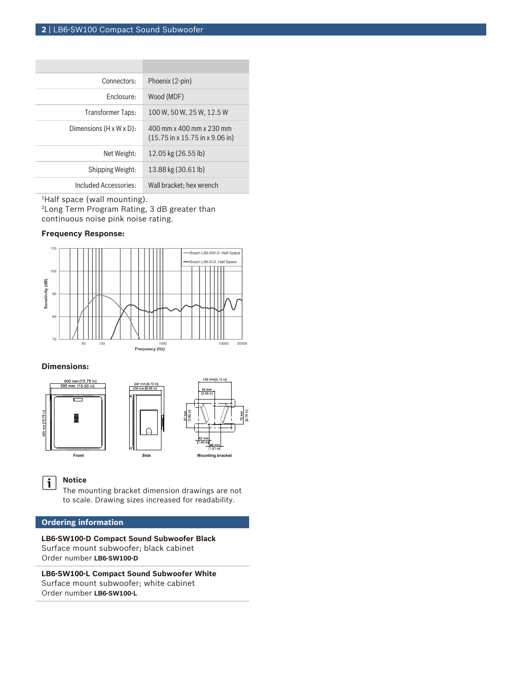| Connectors:                          | Phoenix (2-pin)                                                                                 |
|--------------------------------------|-------------------------------------------------------------------------------------------------|
| Enclosure:                           | Wood (MDF)                                                                                      |
| <b>Transformer Taps:</b>             | 100 W, 50 W, 25 W, 12.5 W                                                                       |
| Dimensions $(H \times W \times D)$ : | 400 mm x 400 mm x 230 mm<br>$(15.75 \text{ in} \times 15.75 \text{ in} \times 9.06 \text{ in})$ |
| Net Weight:                          | 12.05 kg (26.55 lb)                                                                             |
| Shipping Weight:                     | 13.88 kg (30.61 lb)                                                                             |
| Included Accessories:                | Wall bracket; hex wrench                                                                        |

<sup>1</sup>Half space (wall mounting). <sup>2</sup> Long Term Program Rating, 3 dB greater than continuous noise pink noise rating.

# **Frequency Response:**



### **Dimensions:**





# **Notice**

 $\mathbf{i}$ 

The mounting bracket dimension drawings are not to scale. Drawing sizes increased for readability.

Side

# **Ordering information**

**LB6-SW100-D Compact Sound Subwoofer Black** Surface mount subwoofer; black cabinet Order number **LB6-SW100-D**

**LB6-SW100-L Compact Sound Subwoofer White** Surface mount subwoofer; white cabinet Order number **LB6-SW100-L**